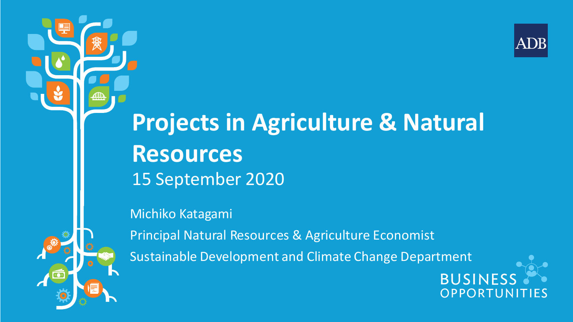

## **Projects in Agriculture & Natural Resources** 15 September 2020

Michiko Katagami

Principal Natural Resources & Agriculture Economist Sustainable Development and Climate Change Department

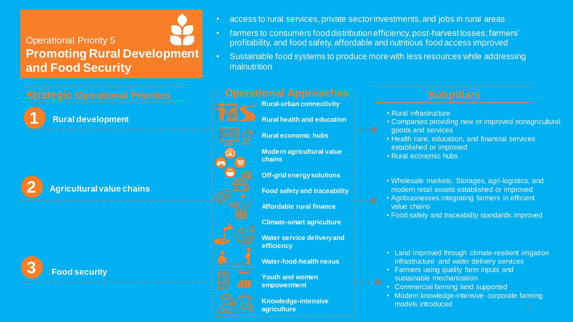#### Operational Priority 5 **Promoting Rural Development and Food Security**



**2**

**Rural development**

**Agricultural value chains**







- farmers to consumers food distribution efficiency, post-harvest losses; farmers' profitability, and food safety, affordable and nutritious food access improved
- Sustainable food systems to produce more with less resources while addressing malnutrition



**Climate-smart agriculture**

**Water service delivery and efficiency**

**Water-food-health nexus**



**empowerment**

**Knowledge-intensive** 

**Youth and women** 

- Rural infrastructure
- Companies providing new or improved nonagricultural goods and services
- Health care, education, and financial services established or improved
- Rural economic hubs
- Wholesale markets, Storages, agri-logistics, and modern retail assets established or improved
- Agribusinesses integrating farmers in efficient value chains
- Food safety and traceability standards improved
- Land improved through climate-resilient irrigation infrastructure and water delivery services
- Farmers using quality farm inputs and sustainable mechanization
- Commercial farming land supported
- Modern knowledge-intensive corporate farming models introduced **agriculture** 22 and 22 and 22 and 22 and 22 and 22 and 22 and 22 and 22 and 22 and 22 and 22 and 22 and 22 and 2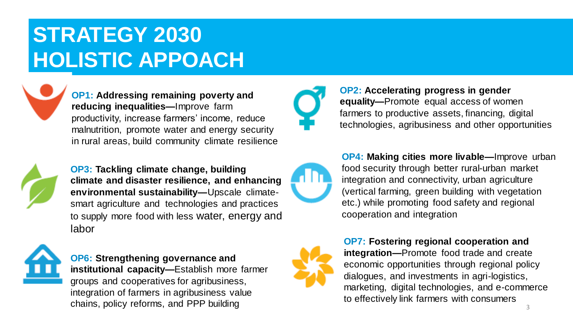### **STRATEGY 2030 HOLISTIC APPOACH**



**OP1: Addressing remaining poverty and reducing inequalities—**Improve farm productivity, increase farmers' income, reduce malnutrition, promote water and energy security in rural areas, build community climate resilience



**OP3: Tackling climate change, building climate and disaster resilience, and enhancing environmental sustainability—**Upscale climatesmart agriculture and technologies and practices to supply more food with less water, energy and labor



#### **OP6: Strengthening governance and institutional capacity—**Establish more farmer

groups and cooperatives for agribusiness, integration of farmers in agribusiness value chains, policy reforms, and PPP building



**OP2: Accelerating progress in gender equality—**Promote equal access of women farmers to productive assets, financing, digital technologies, agribusiness and other opportunities



**OP4: Making cities more livable—**Improve urban food security through better rural-urban market integration and connectivity, urban agriculture (vertical farming, green building with vegetation etc.) while promoting food safety and regional cooperation and integration



#### **OP7: Fostering regional cooperation and integration—**Promote food trade and create economic opportunities through regional policy dialogues, and investments in agri-logistics, marketing, digital technologies, and e-commerce to effectively link farmers with consumers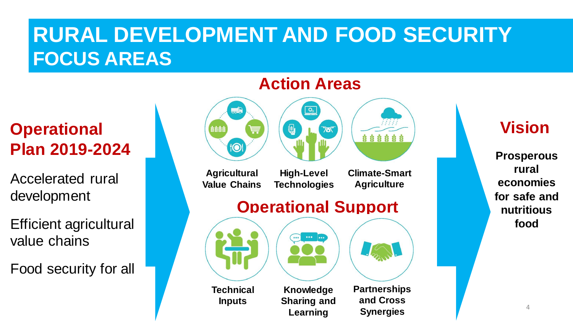### **RURAL DEVELOPMENT AND FOOD SECURITY FOCUS AREAS**

**Plan 2019-2024**

Accelerated rural development

Efficient agricultural value chains

Food security for all



**Learning**

**Synergies**

#### **Action Areas**

**Prosperous rural economies for safe and nutritious food**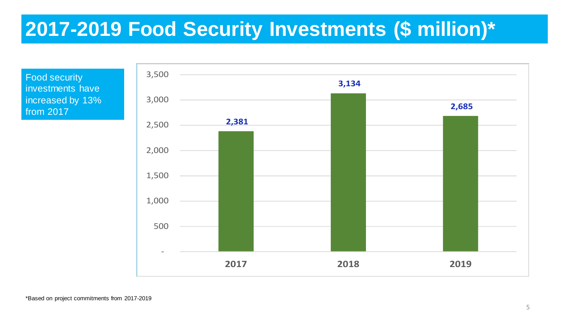#### **2017-2019 Food Security Investments (\$ million)\***

Food security investments have increased by 13% from 2017

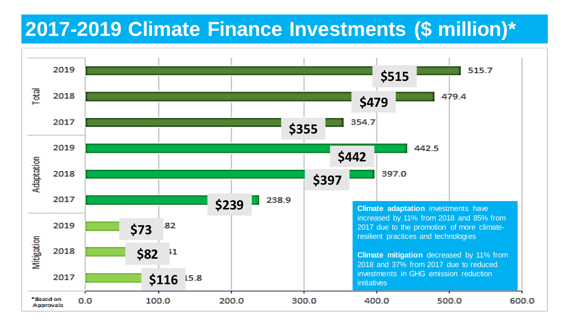#### **2017-2019 Climate Finance Investments (\$ million)\***

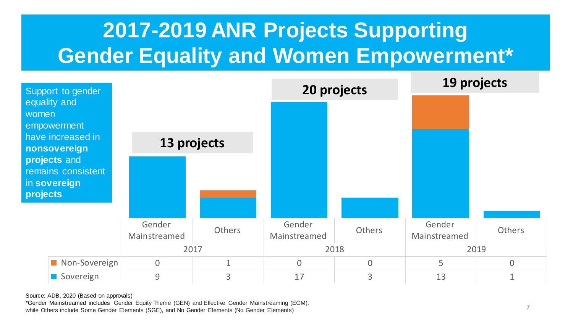### **2017-2019 ANR Projects Supporting Gender Equality and Women Empowerment\***



Source: ADB, 2020 (Based on approvals)

\*Gender Mainstreamed includes Gender Equity Theme (GEN) and Effective Gender Mainstreaming (EGM), while Others include Some Gender Elements (SGE), and No Gender Elements (No Gender Elements)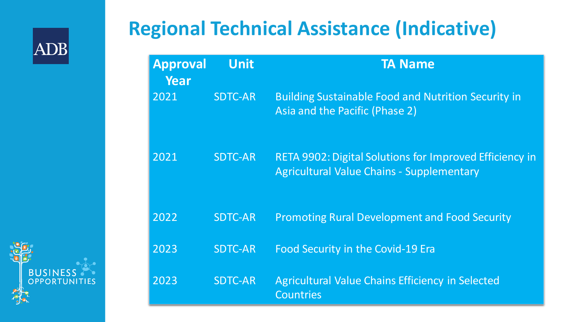

**BUSIN** 

OPPORTUNITIES

### **Regional Technical Assistance (Indicative)**

| <b>Approval</b><br>Year | <b>Unit</b>    | <b>TA Name</b>                                                                                                     |
|-------------------------|----------------|--------------------------------------------------------------------------------------------------------------------|
| 2021                    | <b>SDTC-AR</b> | <b>Building Sustainable Food and Nutrition Security in</b><br>Asia and the Pacific (Phase 2)                       |
| 2021                    | <b>SDTC-AR</b> | <b>RETA 9902: Digital Solutions for Improved Efficiency in</b><br><b>Agricultural Value Chains - Supplementary</b> |
| 2022                    | <b>SDTC-AR</b> | <b>Promoting Rural Development and Food Security</b>                                                               |
| 2023                    | <b>SDTC-AR</b> | Food Security in the Covid-19 Era                                                                                  |
| 2023                    | <b>SDTC-AR</b> | <b>Agricultural Value Chains Efficiency in Selected</b><br><b>Countries</b>                                        |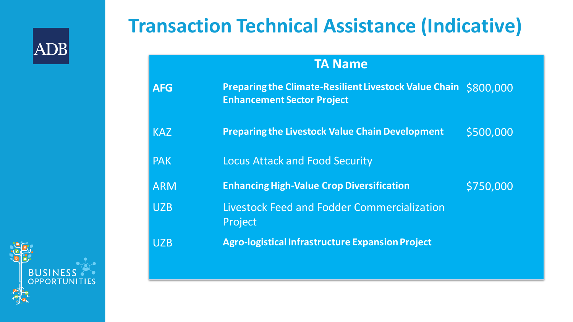

### **Transaction Technical Assistance (Indicative)**

#### **TA Name**

| <b>AFG</b> | <b>Preparing the Climate-Resilient Livestock Value Chain \$800,000</b><br><b>Enhancement Sector Project</b> |           |
|------------|-------------------------------------------------------------------------------------------------------------|-----------|
| <b>KAZ</b> | <b>Preparing the Livestock Value Chain Development</b>                                                      | \$500,000 |
| <b>PAK</b> | <b>Locus Attack and Food Security</b>                                                                       |           |
| <b>ARM</b> | <b>Enhancing High-Value Crop Diversification</b>                                                            | \$750,000 |
| <b>UZB</b> | <b>Livestock Feed and Fodder Commercialization</b><br>Project                                               |           |
| <b>UZB</b> | <b>Agro-logistical Infrastructure Expansion Project</b>                                                     |           |

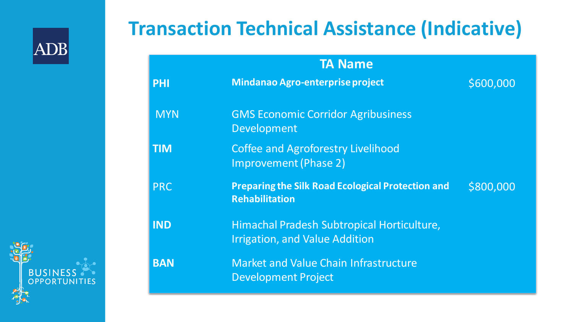

#### **Transaction Technical Assistance (Indicative)**

| <b>TA Name</b> |                                                                                     |           |  |  |  |
|----------------|-------------------------------------------------------------------------------------|-----------|--|--|--|
| <b>PHI</b>     | Mindanao Agro-enterprise project                                                    | \$600,000 |  |  |  |
| <b>MYN</b>     | <b>GMS Economic Corridor Agribusiness</b><br>Development                            |           |  |  |  |
| <b>TIM</b>     | <b>Coffee and Agroforestry Livelihood</b><br><b>Improvement (Phase 2)</b>           |           |  |  |  |
| <b>PRC</b>     | <b>Preparing the Silk Road Ecological Protection and</b><br><b>Rehabilitation</b>   | \$800,000 |  |  |  |
| <b>IND</b>     | Himachal Pradesh Subtropical Horticulture,<br><b>Irrigation, and Value Addition</b> |           |  |  |  |
| <b>BAN</b>     | <b>Market and Value Chain Infrastructure</b><br><b>Development Project</b>          |           |  |  |  |